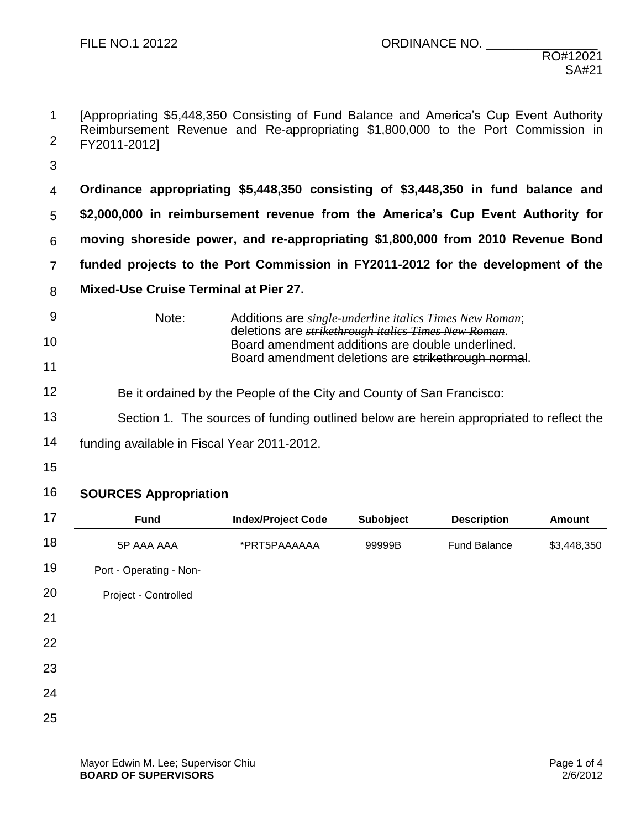- 1 2 [Appropriating \$5,448,350 Consisting of Fund Balance and America's Cup Event Authority Reimbursement Revenue and Re-appropriating \$1,800,000 to the Port Commission in FY2011-2012]
- 3
- 4 5 6 7 8 **Ordinance appropriating \$5,448,350 consisting of \$3,448,350 in fund balance and \$2,000,000 in reimbursement revenue from the America's Cup Event Authority for moving shoreside power, and re-appropriating \$1,800,000 from 2010 Revenue Bond funded projects to the Port Commission in FY2011-2012 for the development of the Mixed-Use Cruise Terminal at Pier 27.**
- 9 10 11 Note: Additions are *single-underline italics Times New Roman*; deletions are *strikethrough italics Times New Roman*. Board amendment additions are double underlined. Board amendment deletions are strikethrough normal.
- 12 Be it ordained by the People of the City and County of San Francisco:
- 13 Section 1. The sources of funding outlined below are herein appropriated to reflect the
- 14 funding available in Fiscal Year 2011-2012.
- 15
- 16 **SOURCES Appropriation**

| 17 | <b>Fund</b>             | <b>Index/Project Code</b> | Subobject | <b>Description</b>  | <b>Amount</b> |
|----|-------------------------|---------------------------|-----------|---------------------|---------------|
| 18 | 5P AAA AAA              | *PRT5PAAAAAA              | 99999B    | <b>Fund Balance</b> | \$3,448,350   |
| 19 | Port - Operating - Non- |                           |           |                     |               |
| 20 | Project - Controlled    |                           |           |                     |               |
| 21 |                         |                           |           |                     |               |
| 22 |                         |                           |           |                     |               |
| 23 |                         |                           |           |                     |               |
| 24 |                         |                           |           |                     |               |
| 25 |                         |                           |           |                     |               |
|    |                         |                           |           |                     |               |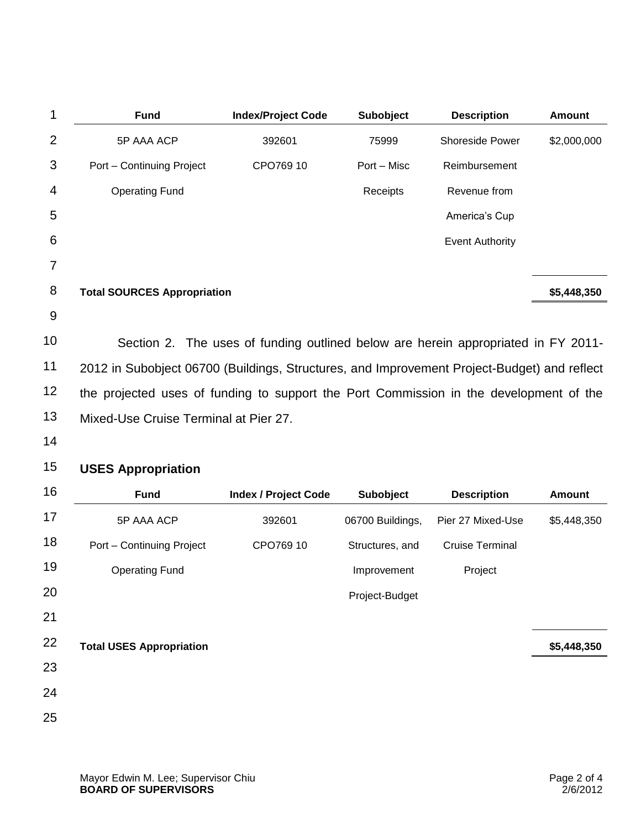| <b>Fund</b>                                                                                 | <b>Index/Project Code</b>                                                         | Subobject        | <b>Description</b>     | <b>Amount</b> |  |
|---------------------------------------------------------------------------------------------|-----------------------------------------------------------------------------------|------------------|------------------------|---------------|--|
| 5P AAA ACP                                                                                  | 392601                                                                            | 75999            | Shoreside Power        | \$2,000,000   |  |
| Port - Continuing Project                                                                   | CPO769 10                                                                         | Port - Misc      | Reimbursement          |               |  |
| <b>Operating Fund</b>                                                                       |                                                                                   | Receipts         | Revenue from           |               |  |
|                                                                                             |                                                                                   |                  | America's Cup          |               |  |
|                                                                                             |                                                                                   |                  | <b>Event Authority</b> |               |  |
|                                                                                             |                                                                                   |                  |                        |               |  |
| <b>Total SOURCES Appropriation</b>                                                          |                                                                                   |                  |                        | \$5,448,350   |  |
|                                                                                             |                                                                                   |                  |                        |               |  |
|                                                                                             | Section 2. The uses of funding outlined below are herein appropriated in FY 2011- |                  |                        |               |  |
| 2012 in Subobject 06700 (Buildings, Structures, and Improvement Project-Budget) and reflect |                                                                                   |                  |                        |               |  |
| the projected uses of funding to support the Port Commission in the development of the      |                                                                                   |                  |                        |               |  |
| Mixed-Use Cruise Terminal at Pier 27.                                                       |                                                                                   |                  |                        |               |  |
|                                                                                             |                                                                                   |                  |                        |               |  |
| <b>USES Appropriation</b>                                                                   |                                                                                   |                  |                        |               |  |
| <b>Fund</b>                                                                                 | <b>Index / Project Code</b>                                                       | <b>Subobject</b> | <b>Description</b>     | <b>Amount</b> |  |
| 5P AAA ACP                                                                                  | 392601                                                                            | 06700 Buildings, | Pier 27 Mixed-Use      | \$5,448,350   |  |
| Port – Continuing Project                                                                   | CPO769 10                                                                         | Structures, and  | Cruise Terminal        |               |  |

| 18 | Port - Continuing Project       | CPO769 10 | Structures, and | <b>Cruise Terminal</b> |             |
|----|---------------------------------|-----------|-----------------|------------------------|-------------|
| 19 | <b>Operating Fund</b>           |           | Improvement     | Project                |             |
| 20 |                                 |           | Project-Budget  |                        |             |
| 21 |                                 |           |                 |                        |             |
| 22 | <b>Total USES Appropriation</b> |           |                 |                        | \$5,448,350 |
| 23 |                                 |           |                 |                        |             |
| 24 |                                 |           |                 |                        |             |
| 25 |                                 |           |                 |                        |             |
|    |                                 |           |                 |                        |             |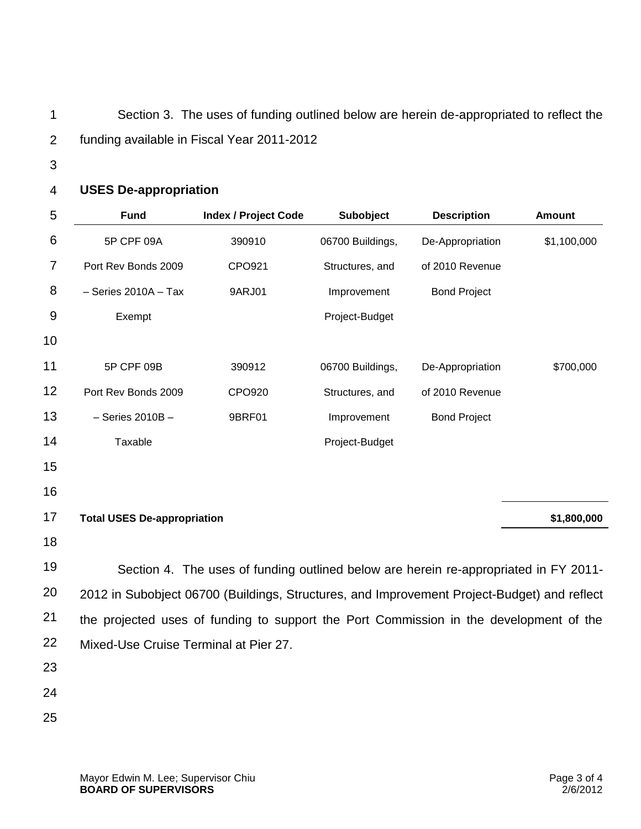1 2 Section 3. The uses of funding outlined below are herein de-appropriated to reflect the funding available in Fiscal Year 2011-2012

3

## 4 **USES De-appropriation**

| 5  | <b>Fund</b>                                                                                 | <b>Index / Project Code</b> | Subobject        | <b>Description</b>  | <b>Amount</b> |  |
|----|---------------------------------------------------------------------------------------------|-----------------------------|------------------|---------------------|---------------|--|
| 6  | 5P CPF 09A                                                                                  | 390910                      | 06700 Buildings, | De-Appropriation    | \$1,100,000   |  |
| 7  | Port Rev Bonds 2009                                                                         | CPO921                      | Structures, and  | of 2010 Revenue     |               |  |
| 8  | $-$ Series 2010A $-$ Tax                                                                    | 9ARJ01                      | Improvement      | <b>Bond Project</b> |               |  |
| 9  | Exempt                                                                                      |                             | Project-Budget   |                     |               |  |
| 10 |                                                                                             |                             |                  |                     |               |  |
| 11 | 5P CPF 09B                                                                                  | 390912                      | 06700 Buildings, | De-Appropriation    | \$700,000     |  |
| 12 | Port Rev Bonds 2009                                                                         | CPO920                      | Structures, and  | of 2010 Revenue     |               |  |
| 13 | $-$ Series 2010B $-$                                                                        | 9BRF01                      | Improvement      | <b>Bond Project</b> |               |  |
| 14 | Taxable                                                                                     |                             | Project-Budget   |                     |               |  |
| 15 |                                                                                             |                             |                  |                     |               |  |
| 16 |                                                                                             |                             |                  |                     |               |  |
| 17 | <b>Total USES De-appropriation</b>                                                          |                             |                  |                     | \$1,800,000   |  |
| 18 |                                                                                             |                             |                  |                     |               |  |
| 19 | Section 4. The uses of funding outlined below are herein re-appropriated in FY 2011-        |                             |                  |                     |               |  |
| 20 | 2012 in Subobject 06700 (Buildings, Structures, and Improvement Project-Budget) and reflect |                             |                  |                     |               |  |
| 21 | the projected uses of funding to support the Port Commission in the development of the      |                             |                  |                     |               |  |
| 22 | Mixed-Use Cruise Terminal at Pier 27.                                                       |                             |                  |                     |               |  |
| 23 |                                                                                             |                             |                  |                     |               |  |
| 24 |                                                                                             |                             |                  |                     |               |  |
| 25 |                                                                                             |                             |                  |                     |               |  |